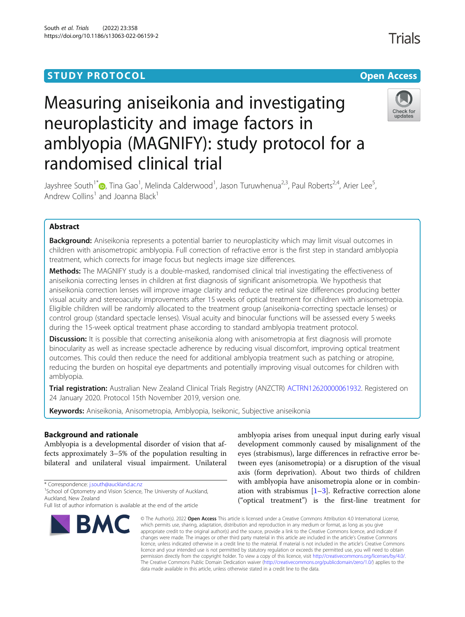## **STUDY PROTOCOL CONSUMING THE RESERVE ACCESS**

# Measuring aniseikonia and investigating neuroplasticity and image factors in amblyopia (MAGNIFY): study protocol for a randomised clinical trial



Jayshree South<sup>1[\\*](http://orcid.org/0000-0001-6024-913X)</sup> (D, Tina Gao<sup>1</sup>, Melinda Calderwood<sup>1</sup>, Jason Turuwhenua<sup>2,3</sup>, Paul Roberts<sup>2,4</sup>, Arier Lee<sup>5</sup> , Andrew Collins<sup>1</sup> and Joanna Black<sup>1</sup>

### Abstract

**Background:** Aniseikonia represents a potential barrier to neuroplasticity which may limit visual outcomes in children with anisometropic amblyopia. Full correction of refractive error is the first step in standard amblyopia treatment, which corrects for image focus but neglects image size differences.

Methods: The MAGNIFY study is a double-masked, randomised clinical trial investigating the effectiveness of aniseikonia correcting lenses in children at first diagnosis of significant anisometropia. We hypothesis that aniseikonia correction lenses will improve image clarity and reduce the retinal size differences producing better visual acuity and stereoacuity improvements after 15 weeks of optical treatment for children with anisometropia. Eligible children will be randomly allocated to the treatment group (aniseikonia-correcting spectacle lenses) or control group (standard spectacle lenses). Visual acuity and binocular functions will be assessed every 5 weeks during the 15-week optical treatment phase according to standard amblyopia treatment protocol.

**Discussion:** It is possible that correcting aniseikonia along with anisometropia at first diagnosis will promote binocularity as well as increase spectacle adherence by reducing visual discomfort, improving optical treatment outcomes. This could then reduce the need for additional amblyopia treatment such as patching or atropine, reducing the burden on hospital eye departments and potentially improving visual outcomes for children with amblyopia.

Trial registration: Australian New Zealand Clinical Trials Registry (ANZCTR) [ACTRN12620000061932.](http://www.ANZCTR.org.au/ACTRN12620000061932.aspx) Registered on 24 January 2020. Protocol 15th November 2019, version one.

Keywords: Aniseikonia, Anisometropia, Amblyopia, Iseikonic, Subjective aniseikonia

#### Background and rationale

Amblyopia is a developmental disorder of vision that affects approximately 3–5% of the population resulting in bilateral and unilateral visual impairment. Unilateral

\* Correspondence: [j.south@auckland.ac.nz](mailto:j.south@auckland.ac.nz) <sup>1</sup>

<sup>1</sup>School of Optometry and Vision Science, The University of Auckland, Auckland, New Zealand

Full list of author information is available at the end of the article



amblyopia arises from unequal input during early visual development commonly caused by misalignment of the eyes (strabismus), large differences in refractive error between eyes (anisometropia) or a disruption of the visual axis (form deprivation). About two thirds of children with amblyopia have anisometropia alone or in combination with strabismus  $[1-3]$  $[1-3]$  $[1-3]$  $[1-3]$  $[1-3]$ . Refractive correction alone ("optical treatment") is the first-line treatment for

© The Author(s), 2022 **Open Access** This article is licensed under a Creative Commons Attribution 4.0 International License, which permits use, sharing, adaptation, distribution and reproduction in any medium or format, as long as you give appropriate credit to the original author(s) and the source, provide a link to the Creative Commons licence, and indicate if changes were made. The images or other third party material in this article are included in the article's Creative Commons licence, unless indicated otherwise in a credit line to the material. If material is not included in the article's Creative Commons licence and your intended use is not permitted by statutory regulation or exceeds the permitted use, you will need to obtain permission directly from the copyright holder. To view a copy of this licence, visit [http://creativecommons.org/licenses/by/4.0/.](http://creativecommons.org/licenses/by/4.0/) The Creative Commons Public Domain Dedication waiver [\(http://creativecommons.org/publicdomain/zero/1.0/](http://creativecommons.org/publicdomain/zero/1.0/)) applies to the data made available in this article, unless otherwise stated in a credit line to the data.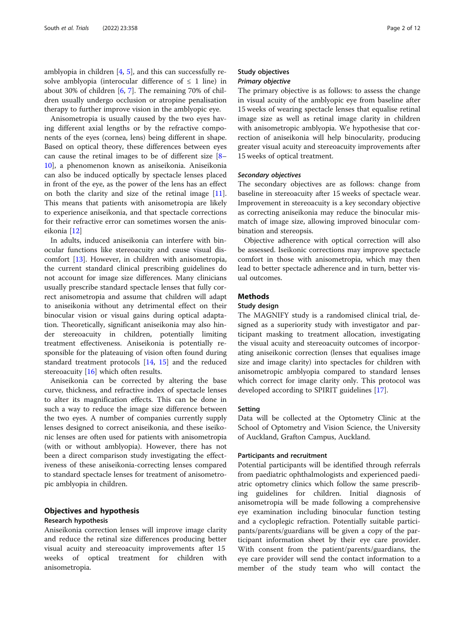amblyopia in children [\[4](#page-10-0), [5](#page-10-0)], and this can successfully resolve amblyopia (interocular difference of  $\leq 1$  line) in about 30% of children [[6,](#page-10-0) [7\]](#page-10-0). The remaining 70% of children usually undergo occlusion or atropine penalisation therapy to further improve vision in the amblyopic eye.

Anisometropia is usually caused by the two eyes having different axial lengths or by the refractive components of the eyes (cornea, lens) being different in shape. Based on optical theory, these differences between eyes can cause the retinal images to be of different size [[8](#page-10-0)– [10\]](#page-10-0), a phenomenon known as aniseikonia. Aniseikonia can also be induced optically by spectacle lenses placed in front of the eye, as the power of the lens has an effect on both the clarity and size of the retinal image [\[11](#page-10-0)]. This means that patients with anisometropia are likely to experience aniseikonia, and that spectacle corrections for their refractive error can sometimes worsen the aniseikonia [\[12\]](#page-10-0)

In adults, induced aniseikonia can interfere with binocular functions like stereoacuity and cause visual discomfort [[13](#page-10-0)]. However, in children with anisometropia, the current standard clinical prescribing guidelines do not account for image size differences. Many clinicians usually prescribe standard spectacle lenses that fully correct anisometropia and assume that children will adapt to aniseikonia without any detrimental effect on their binocular vision or visual gains during optical adaptation. Theoretically, significant aniseikonia may also hinder stereoacuity in children, potentially limiting treatment effectiveness. Aniseikonia is potentially responsible for the plateauing of vision often found during standard treatment protocols [[14,](#page-10-0) [15](#page-10-0)] and the reduced stereoacuity [[16](#page-10-0)] which often results.

Aniseikonia can be corrected by altering the base curve, thickness, and refractive index of spectacle lenses to alter its magnification effects. This can be done in such a way to reduce the image size difference between the two eyes. A number of companies currently supply lenses designed to correct aniseikonia, and these iseikonic lenses are often used for patients with anisometropia (with or without amblyopia). However, there has not been a direct comparison study investigating the effectiveness of these aniseikonia-correcting lenses compared to standard spectacle lenses for treatment of anisometropic amblyopia in children.

#### Objectives and hypothesis Research hypothesis

Aniseikonia correction lenses will improve image clarity and reduce the retinal size differences producing better visual acuity and stereoacuity improvements after 15 weeks of optical treatment for children with anisometropia.

#### Study objectives Primary objective

The primary objective is as follows: to assess the change in visual acuity of the amblyopic eye from baseline after 15 weeks of wearing spectacle lenses that equalise retinal image size as well as retinal image clarity in children with anisometropic amblyopia. We hypothesise that correction of aniseikonia will help binocularity, producing greater visual acuity and stereoacuity improvements after 15 weeks of optical treatment.

#### Secondary objectives

The secondary objectives are as follows: change from baseline in stereoacuity after 15 weeks of spectacle wear. Improvement in stereoacuity is a key secondary objective as correcting aniseikonia may reduce the binocular mismatch of image size, allowing improved binocular combination and stereopsis.

Objective adherence with optical correction will also be assessed. Iseikonic corrections may improve spectacle comfort in those with anisometropia, which may then lead to better spectacle adherence and in turn, better visual outcomes.

#### **Methods**

#### Study design

The MAGNIFY study is a randomised clinical trial, designed as a superiority study with investigator and participant masking to treatment allocation, investigating the visual acuity and stereoacuity outcomes of incorporating aniseikonic correction (lenses that equalises image size and image clarity) into spectacles for children with anisometropic amblyopia compared to standard lenses which correct for image clarity only. This protocol was developed according to SPIRIT guidelines [\[17](#page-10-0)].

#### Setting

Data will be collected at the Optometry Clinic at the School of Optometry and Vision Science, the University of Auckland, Grafton Campus, Auckland.

#### Participants and recruitment

Potential participants will be identified through referrals from paediatric ophthalmologists and experienced paediatric optometry clinics which follow the same prescribing guidelines for children. Initial diagnosis of anisometropia will be made following a comprehensive eye examination including binocular function testing and a cycloplegic refraction. Potentially suitable participants/parents/guardians will be given a copy of the participant information sheet by their eye care provider. With consent from the patient/parents/guardians, the eye care provider will send the contact information to a member of the study team who will contact the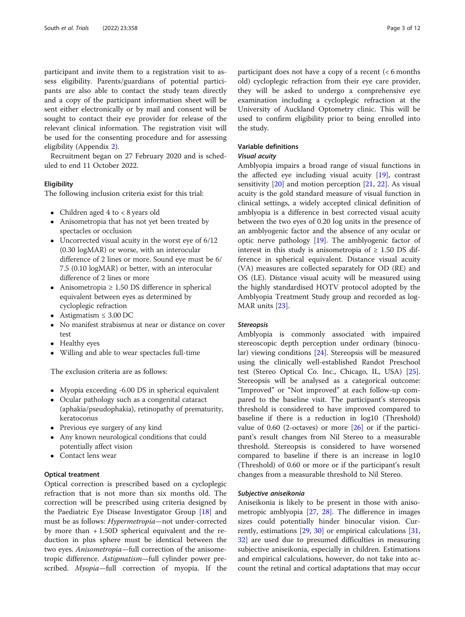participant and invite them to a registration visit to assess eligibility. Parents/guardians of potential participants are also able to contact the study team directly and a copy of the participant information sheet will be sent either electronically or by mail and consent will be sought to contact their eye provider for release of the relevant clinical information. The registration visit will be used for the consenting procedure and for assessing eligibility (Appendix [2\)](#page-9-0).

Recruitment began on 27 February 2020 and is scheduled to end 11 October 2022.

#### **Eligibility**

The following inclusion criteria exist for this trial:

- Children aged 4 to <8 years old
- Anisometropia that has not yet been treated by spectacles or occlusion
- Uncorrected visual acuity in the worst eye of 6/12 (0.30 logMAR) or worse, with an interocular difference of 2 lines or more. Sound eye must be 6/ 7.5 (0.10 logMAR) or better, with an interocular difference of 2 lines or more
- Anisometropia ≥ 1.50 DS difference in spherical equivalent between eyes as determined by cycloplegic refraction
- $\bullet$  Astigmatism ≤ 3.00 DC
- No manifest strabismus at near or distance on cover test
- Healthy eyes
- Willing and able to wear spectacles full-time

The exclusion criteria are as follows:

- Myopia exceeding -6.00 DS in spherical equivalent
- Ocular pathology such as a congenital cataract (aphakia/pseudophakia), retinopathy of prematurity, keratoconus
- Previous eye surgery of any kind
- Any known neurological conditions that could potentially affect vision
- Contact lens wear

#### Optical treatment

Optical correction is prescribed based on a cycloplegic refraction that is not more than six months old. The correction will be prescribed using criteria designed by the Paediatric Eye Disease Investigator Group [\[18](#page-10-0)] and must be as follows: Hypermetropia—not under-corrected by more than + 1.50D spherical equivalent and the reduction in plus sphere must be identical between the two eyes. Anisometropia—full correction of the anisometropic difference. Astigmatism—full cylinder power prescribed. Myopia—full correction of myopia. If the participant does not have a copy of a recent (< 6 months old) cycloplegic refraction from their eye care provider, they will be asked to undergo a comprehensive eye examination including a cycloplegic refraction at the University of Auckland Optometry clinic. This will be used to confirm eligibility prior to being enrolled into the study.

#### Variable definitions

#### Visual acuity

Amblyopia impairs a broad range of visual functions in the affected eye including visual acuity [[19\]](#page-10-0), contrast sensitivity [\[20](#page-10-0)] and motion perception [\[21](#page-10-0), [22](#page-10-0)]. As visual acuity is the gold standard measure of visual function in clinical settings, a widely accepted clinical definition of amblyopia is a difference in best corrected visual acuity between the two eyes of 0.20 log units in the presence of an amblyogenic factor and the absence of any ocular or optic nerve pathology [\[19\]](#page-10-0). The amblyogenic factor of interest in this study is anisometropia of  $\geq$  1.50 DS difference in spherical equivalent. Distance visual acuity (VA) measures are collected separately for OD (RE) and OS (LE). Distance visual acuity will be measured using the highly standardised HOTV protocol adopted by the Amblyopia Treatment Study group and recorded as log-MAR units [\[23\]](#page-10-0).

#### Stereopsis

Amblyopia is commonly associated with impaired stereoscopic depth perception under ordinary (binocular) viewing conditions [[24](#page-10-0)]. Stereopsis will be measured using the clinically well-established Randot Preschool test (Stereo Optical Co. Inc., Chicago, IL, USA) [\[25](#page-10-0)]. Stereopsis will be analysed as a categorical outcome: "Improved" or "Not improved" at each follow-up compared to the baseline visit. The participant's stereopsis threshold is considered to have improved compared to baseline if there is a reduction in log10 (Threshold) value of 0.60 (2-octaves) or more  $[26]$  $[26]$  or if the participant's result changes from Nil Stereo to a measurable threshold. Stereopsis is considered to have worsened compared to baseline if there is an increase in log10 (Threshold) of 0.60 or more or if the participant's result changes from a measurable threshold to Nil Stereo.

#### Subjective aniseikonia

Aniseikonia is likely to be present in those with anisometropic amblyopia [[27,](#page-10-0) [28](#page-10-0)]. The difference in images sizes could potentially hinder binocular vision. Currently, estimations [[29,](#page-10-0) [30](#page-10-0)] or empirical calculations [[31](#page-10-0), [32\]](#page-10-0) are used due to presumed difficulties in measuring subjective aniseikonia, especially in children. Estimations and empirical calculations, however, do not take into account the retinal and cortical adaptations that may occur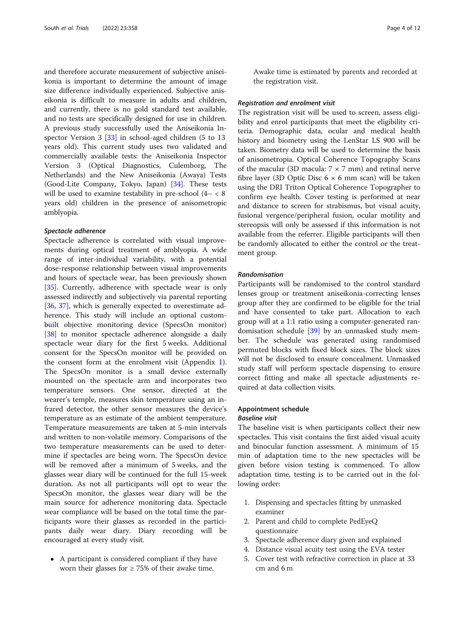and therefore accurate measurement of subjective aniseikonia is important to determine the amount of image size difference individually experienced. Subjective aniseikonia is difficult to measure in adults and children, and currently, there is no gold standard test available, and no tests are specifically designed for use in children. A previous study successfully used the Aniseikonia In-spector Version 3 [\[33](#page-10-0)] in school-aged children (5 to 13 years old). This current study uses two validated and commercially available tests: the Aniseikonia Inspector Version 3 (Optical Diagnostics, Culemborg, The Netherlands) and the New Aniseikonia (Awaya) Tests (Good-Lite Company, Tokyo, Japan) [[34\]](#page-10-0). These tests will be used to examine testability in pre-school (4– < 8 years old) children in the presence of anisometropic amblyopia.

#### Spectacle adherence

Spectacle adherence is correlated with visual improvements during optical treatment of amblyopia. A wide range of inter-individual variability, with a potential dose-response relationship between visual improvements and hours of spectacle wear, has been previously shown [[35\]](#page-10-0). Currently, adherence with spectacle wear is only assessed indirectly and subjectively via parental reporting [[36,](#page-10-0) [37](#page-10-0)], which is generally expected to overestimate adherence. This study will include an optional custombuilt objective monitoring device (SpecsOn monitor) [[38\]](#page-10-0) to monitor spectacle adherence alongside a daily spectacle wear diary for the first 5 weeks. Additional consent for the SpecsOn monitor will be provided on the consent form at the enrolment visit (Appendix [1](#page-9-0)). The SpecsOn monitor is a small device externally mounted on the spectacle arm and incorporates two temperature sensors. One sensor, directed at the wearer's temple, measures skin temperature using an infrared detector, the other sensor measures the device's temperature as an estimate of the ambient temperature. Temperature measurements are taken at 5-min intervals and written to non-volatile memory. Comparisons of the two temperature measurements can be used to determine if spectacles are being worn. The SpecsOn device will be removed after a minimum of 5 weeks, and the glasses wear diary will be continued for the full 15-week duration. As not all participants will opt to wear the SpecsOn monitor, the glasses wear diary will be the main source for adherence monitoring data. Spectacle wear compliance will be based on the total time the participants wore their glasses as recorded in the participants daily wear diary. Diary recording will be encouraged at every study visit.

 A participant is considered compliant if they have worn their glasses for  $\geq$  75% of their awake time.

Awake time is estimated by parents and recorded at the registration visit.

#### Registration and enrolment visit

The registration visit will be used to screen, assess eligibility and enrol participants that meet the eligibility criteria. Demographic data, ocular and medical health history and biometry using the LenStar LS 900 will be taken. Biometry data will be used to determine the basis of anisometropia. Optical Coherence Topography Scans of the macular (3D macula:  $7 \times 7$  mm) and retinal nerve fibre layer (3D Optic Disc  $6 \times 6$  mm scan) will be taken using the DRI Triton Optical Coherence Topographer to confirm eye health. Cover testing is performed at near and distance to screen for strabismus, but visual acuity, fusional vergence/peripheral fusion, ocular motility and stereopsis will only be assessed if this information is not available from the referrer. Eligible participants will then be randomly allocated to either the control or the treatment group.

#### Randomisation

Participants will be randomised to the control standard lenses group or treatment aniseikonia-correcting lenses group after they are confirmed to be eligible for the trial and have consented to take part. Allocation to each group will at a 1:1 ratio using a computer-generated randomisation schedule [\[39](#page-10-0)] by an unmasked study member. The schedule was generated using randomised permuted blocks with fixed block sizes. The block sizes will not be disclosed to ensure concealment. Unmasked study staff will perform spectacle dispensing to ensure correct fitting and make all spectacle adjustments required at data collection visits.

#### Appointment schedule

#### Baseline visit

The baseline visit is when participants collect their new spectacles. This visit contains the first aided visual acuity and binocular function assessment. A minimum of 15 min of adaptation time to the new spectacles will be given before vision testing is commenced. To allow adaptation time, testing is to be carried out in the following order:

- 1. Dispensing and spectacles fitting by unmasked examiner
- 2. Parent and child to complete PedEyeQ questionnaire
- 3. Spectacle adherence diary given and explained
- 4. Distance visual acuity test using the EVA tester
- 5. Cover test with refractive correction in place at 33 cm and 6 m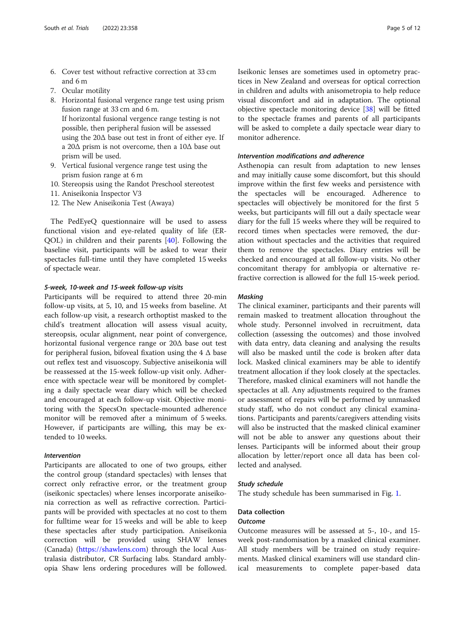- 6. Cover test without refractive correction at 33 cm and 6 m
- 7. Ocular motility
- 8. Horizontal fusional vergence range test using prism fusion range at 33 cm and 6 m. If horizontal fusional vergence range testing is not possible, then peripheral fusion will be assessed using the 20Δ base out test in front of either eye. If a 20Δ prism is not overcome, then a 10Δ base out prism will be used.
- 9. Vertical fusional vergence range test using the prism fusion range at 6 m
- 10. Stereopsis using the Randot Preschool stereotest
- 11. Aniseikonia Inspector V3
- 12. The New Aniseikonia Test (Awaya)

The PedEyeQ questionnaire will be used to assess functional vision and eye-related quality of life (ER-QOL) in children and their parents [\[40](#page-10-0)]. Following the baseline visit, participants will be asked to wear their spectacles full-time until they have completed 15 weeks of spectacle wear.

#### 5-week, 10-week and 15-week follow-up visits

Participants will be required to attend three 20-min follow-up visits, at 5, 10, and 15 weeks from baseline. At each follow-up visit, a research orthoptist masked to the child's treatment allocation will assess visual acuity, stereopsis, ocular alignment, near point of convergence, horizontal fusional vergence range or 20Δ base out test for peripheral fusion, bifoveal fixation using the  $4 \Delta$  base out reflex test and visuoscopy. Subjective aniseikonia will be reassessed at the 15-week follow-up visit only. Adherence with spectacle wear will be monitored by completing a daily spectacle wear diary which will be checked and encouraged at each follow-up visit. Objective monitoring with the SpecsOn spectacle-mounted adherence monitor will be removed after a minimum of 5 weeks. However, if participants are willing, this may be extended to 10 weeks.

#### Intervention

Participants are allocated to one of two groups, either the control group (standard spectacles) with lenses that correct only refractive error, or the treatment group (iseikonic spectacles) where lenses incorporate aniseikonia correction as well as refractive correction. Participants will be provided with spectacles at no cost to them for fulltime wear for 15 weeks and will be able to keep these spectacles after study participation. Aniseikonia correction will be provided using SHAW lenses (Canada) (<https://shawlens.com>) through the local Australasia distributor, CR Surfacing labs. Standard amblyopia Shaw lens ordering procedures will be followed. Iseikonic lenses are sometimes used in optometry practices in New Zealand and overseas for optical correction in children and adults with anisometropia to help reduce visual discomfort and aid in adaptation. The optional objective spectacle monitoring device [\[38\]](#page-10-0) will be fitted to the spectacle frames and parents of all participants will be asked to complete a daily spectacle wear diary to monitor adherence.

#### Intervention modifications and adherence

Asthenopia can result from adaptation to new lenses and may initially cause some discomfort, but this should improve within the first few weeks and persistence with the spectacles will be encouraged. Adherence to spectacles will objectively be monitored for the first 5 weeks, but participants will fill out a daily spectacle wear diary for the full 15 weeks where they will be required to record times when spectacles were removed, the duration without spectacles and the activities that required them to remove the spectacles. Diary entries will be checked and encouraged at all follow-up visits. No other concomitant therapy for amblyopia or alternative refractive correction is allowed for the full 15-week period.

#### Masking

The clinical examiner, participants and their parents will remain masked to treatment allocation throughout the whole study. Personnel involved in recruitment, data collection (assessing the outcomes) and those involved with data entry, data cleaning and analysing the results will also be masked until the code is broken after data lock. Masked clinical examiners may be able to identify treatment allocation if they look closely at the spectacles. Therefore, masked clinical examiners will not handle the spectacles at all. Any adjustments required to the frames or assessment of repairs will be performed by unmasked study staff, who do not conduct any clinical examinations. Participants and parents/caregivers attending visits will also be instructed that the masked clinical examiner will not be able to answer any questions about their lenses. Participants will be informed about their group allocation by letter/report once all data has been collected and analysed.

#### Study schedule

The study schedule has been summarised in Fig. [1](#page-5-0).

#### Data collection

#### **Outcome**

Outcome measures will be assessed at 5-, 10-, and 15 week post-randomisation by a masked clinical examiner. All study members will be trained on study requirements. Masked clinical examiners will use standard clinical measurements to complete paper-based data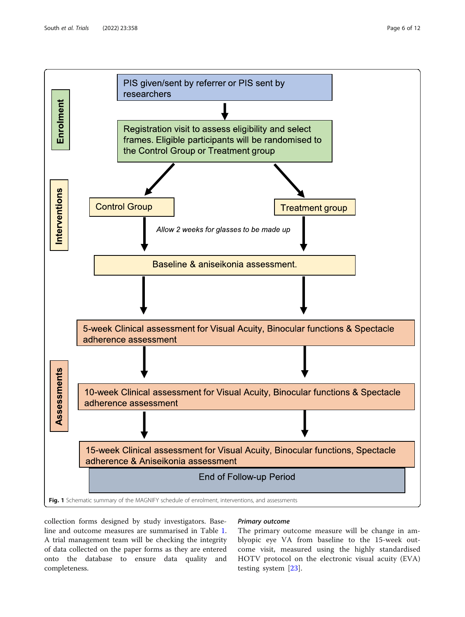<span id="page-5-0"></span>

collection forms designed by study investigators. Baseline and outcome measures are summarised in Table [1](#page-6-0). A trial management team will be checking the integrity of data collected on the paper forms as they are entered onto the database to ensure data quality and completeness.

#### Primary outcome

The primary outcome measure will be change in amblyopic eye VA from baseline to the 15-week outcome visit, measured using the highly standardised HOTV protocol on the electronic visual acuity (EVA) testing system [[23\]](#page-10-0).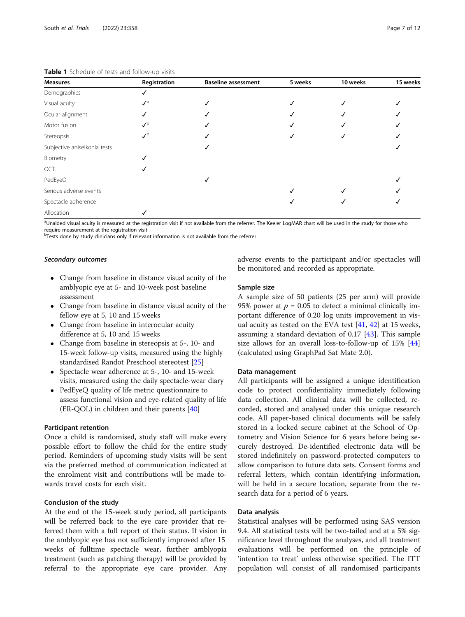| <b>Measures</b>              | Registration               | <b>Baseline assessment</b> | 5 weeks | 10 weeks | 15 weeks |
|------------------------------|----------------------------|----------------------------|---------|----------|----------|
| Demographics                 |                            |                            |         |          |          |
| Visual acuity                | $\mathcal{N}^{\mathsf{a}}$ |                            |         |          |          |
| Ocular alignment             |                            |                            |         |          |          |
| Motor fusion                 | $\lambda$                  |                            |         |          |          |
| Stereopsis                   | ╱                          |                            |         |          |          |
| Subjective aniseikonia tests |                            |                            |         |          |          |
| Biometry                     |                            |                            |         |          |          |
| OCT                          |                            |                            |         |          |          |
| PedEyeQ                      |                            |                            |         |          |          |
| Serious adverse events       |                            |                            |         |          |          |
| Spectacle adherence          |                            |                            |         |          |          |
| Allocation                   |                            |                            |         |          |          |

#### <span id="page-6-0"></span>Table 1 Schedule of tests and follow-up visits

<sup>a</sup>Unaided visual acuity is measured at the registration visit if not available from the referrer. The Keeler LogMAR chart will be used in the study for those who require measurement at the registration visit

<sup>b</sup>Tests done by study clinicians only if relevant information is not available from the referrer

#### Secondary outcomes

- Change from baseline in distance visual acuity of the amblyopic eye at 5- and 10-week post baseline assessment
- Change from baseline in distance visual acuity of the fellow eye at 5, 10 and 15 weeks
- Change from baseline in interocular acuity difference at 5, 10 and 15 weeks
- Change from baseline in stereopsis at 5-, 10- and 15-week follow-up visits, measured using the highly standardised Randot Preschool stereotest [\[25\]](#page-10-0)
- Spectacle wear adherence at 5-, 10- and 15-week visits, measured using the daily spectacle-wear diary
- PedEyeQ quality of life metric questionnaire to assess functional vision and eye-related quality of life (ER-QOL) in children and their parents [\[40\]](#page-10-0)

#### Participant retention

Once a child is randomised, study staff will make every possible effort to follow the child for the entire study period. Reminders of upcoming study visits will be sent via the preferred method of communication indicated at the enrolment visit and contributions will be made towards travel costs for each visit.

#### Conclusion of the study

At the end of the 15-week study period, all participants will be referred back to the eye care provider that referred them with a full report of their status. If vision in the amblyopic eye has not sufficiently improved after 15 weeks of fulltime spectacle wear, further amblyopia treatment (such as patching therapy) will be provided by referral to the appropriate eye care provider. Any adverse events to the participant and/or spectacles will be monitored and recorded as appropriate.

#### Sample size

A sample size of 50 patients (25 per arm) will provide 95% power at  $p = 0.05$  to detect a minimal clinically important difference of 0.20 log units improvement in visual acuity as tested on the EVA test  $[41, 42]$  $[41, 42]$  $[41, 42]$  $[41, 42]$  $[41, 42]$  at 15 weeks, assuming a standard deviation of 0.17 [\[43](#page-10-0)]. This sample size allows for an overall loss-to-follow-up of 15% [[44](#page-10-0)] (calculated using GraphPad Sat Mate 2.0).

#### Data management

All participants will be assigned a unique identification code to protect confidentiality immediately following data collection. All clinical data will be collected, recorded, stored and analysed under this unique research code. All paper-based clinical documents will be safely stored in a locked secure cabinet at the School of Optometry and Vision Science for 6 years before being securely destroyed. De-identified electronic data will be stored indefinitely on password-protected computers to allow comparison to future data sets. Consent forms and referral letters, which contain identifying information, will be held in a secure location, separate from the research data for a period of 6 years.

#### Data analysis

Statistical analyses will be performed using SAS version 9.4. All statistical tests will be two-tailed and at a 5% significance level throughout the analyses, and all treatment evaluations will be performed on the principle of 'intention to treat' unless otherwise specified. The ITT population will consist of all randomised participants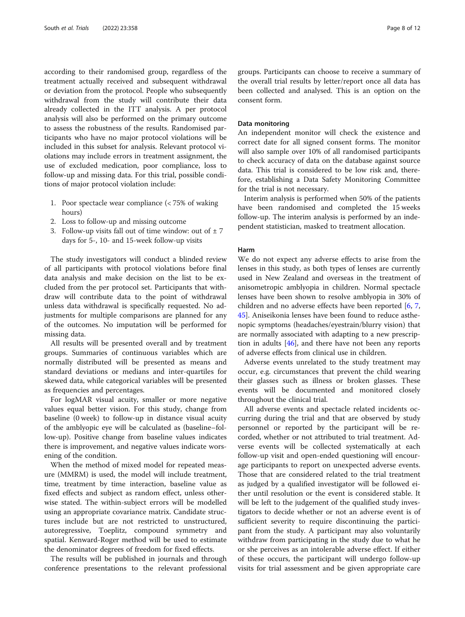according to their randomised group, regardless of the treatment actually received and subsequent withdrawal or deviation from the protocol. People who subsequently withdrawal from the study will contribute their data already collected in the ITT analysis. A per protocol analysis will also be performed on the primary outcome to assess the robustness of the results. Randomised participants who have no major protocol violations will be included in this subset for analysis. Relevant protocol violations may include errors in treatment assignment, the use of excluded medication, poor compliance, loss to follow-up and missing data. For this trial, possible conditions of major protocol violation include:

- 1. Poor spectacle wear compliance (< 75% of waking hours)
- 2. Loss to follow-up and missing outcome
- 3. Follow-up visits fall out of time window: out of  $\pm$  7 days for 5-, 10- and 15-week follow-up visits

The study investigators will conduct a blinded review of all participants with protocol violations before final data analysis and make decision on the list to be excluded from the per protocol set. Participants that withdraw will contribute data to the point of withdrawal unless data withdrawal is specifically requested. No adjustments for multiple comparisons are planned for any of the outcomes. No imputation will be performed for missing data.

All results will be presented overall and by treatment groups. Summaries of continuous variables which are normally distributed will be presented as means and standard deviations or medians and inter-quartiles for skewed data, while categorical variables will be presented as frequencies and percentages.

For logMAR visual acuity, smaller or more negative values equal better vision. For this study, change from baseline (0 week) to follow-up in distance visual acuity of the amblyopic eye will be calculated as (baseline–follow-up). Positive change from baseline values indicates there is improvement, and negative values indicate worsening of the condition.

When the method of mixed model for repeated measure (MMRM) is used, the model will include treatment, time, treatment by time interaction, baseline value as fixed effects and subject as random effect, unless otherwise stated. The within-subject errors will be modelled using an appropriate covariance matrix. Candidate structures include but are not restricted to unstructured, autoregressive, Toeplitz, compound symmetry and spatial. Kenward-Roger method will be used to estimate the denominator degrees of freedom for fixed effects.

The results will be published in journals and through conference presentations to the relevant professional groups. Participants can choose to receive a summary of the overall trial results by letter/report once all data has been collected and analysed. This is an option on the consent form.

#### Data monitoring

An independent monitor will check the existence and correct date for all signed consent forms. The monitor will also sample over 10% of all randomised participants to check accuracy of data on the database against source data. This trial is considered to be low risk and, therefore, establishing a Data Safety Monitoring Committee for the trial is not necessary.

Interim analysis is performed when 50% of the patients have been randomised and completed the 15 weeks follow-up. The interim analysis is performed by an independent statistician, masked to treatment allocation.

#### Harm

We do not expect any adverse effects to arise from the lenses in this study, as both types of lenses are currently used in New Zealand and overseas in the treatment of anisometropic amblyopia in children. Normal spectacle lenses have been shown to resolve amblyopia in 30% of children and no adverse effects have been reported [\[6](#page-10-0), [7](#page-10-0), [45\]](#page-10-0). Aniseikonia lenses have been found to reduce asthenopic symptoms (headaches/eyestrain/blurry vision) that are normally associated with adapting to a new prescription in adults [\[46](#page-10-0)], and there have not been any reports of adverse effects from clinical use in children.

Adverse events unrelated to the study treatment may occur, e.g. circumstances that prevent the child wearing their glasses such as illness or broken glasses. These events will be documented and monitored closely throughout the clinical trial.

All adverse events and spectacle related incidents occurring during the trial and that are observed by study personnel or reported by the participant will be recorded, whether or not attributed to trial treatment. Adverse events will be collected systematically at each follow-up visit and open-ended questioning will encourage participants to report on unexpected adverse events. Those that are considered related to the trial treatment as judged by a qualified investigator will be followed either until resolution or the event is considered stable. It will be left to the judgement of the qualified study investigators to decide whether or not an adverse event is of sufficient severity to require discontinuing the participant from the study. A participant may also voluntarily withdraw from participating in the study due to what he or she perceives as an intolerable adverse effect. If either of these occurs, the participant will undergo follow-up visits for trial assessment and be given appropriate care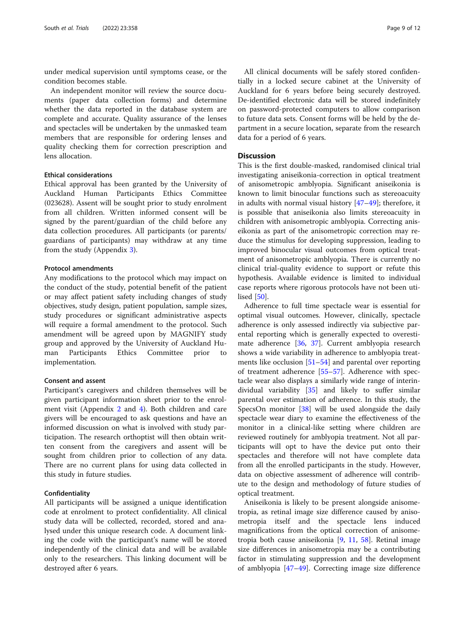under medical supervision until symptoms cease, or the condition becomes stable.

An independent monitor will review the source documents (paper data collection forms) and determine whether the data reported in the database system are complete and accurate. Quality assurance of the lenses and spectacles will be undertaken by the unmasked team members that are responsible for ordering lenses and quality checking them for correction prescription and lens allocation.

#### Ethical considerations

Ethical approval has been granted by the University of Auckland Human Participants Ethics Committee (023628). Assent will be sought prior to study enrolment from all children. Written informed consent will be signed by the parent/guardian of the child before any data collection procedures. All participants (or parents/ guardians of participants) may withdraw at any time from the study (Appendix [3\)](#page-9-0).

#### Protocol amendments

Any modifications to the protocol which may impact on the conduct of the study, potential benefit of the patient or may affect patient safety including changes of study objectives, study design, patient population, sample sizes, study procedures or significant administrative aspects will require a formal amendment to the protocol. Such amendment will be agreed upon by MAGNIFY study group and approved by the University of Auckland Human Participants Ethics Committee prior to implementation.

#### Consent and assent

Participant's caregivers and children themselves will be given participant information sheet prior to the enrolment visit (Appendix [2](#page-9-0) and [4](#page-9-0)). Both children and care givers will be encouraged to ask questions and have an informed discussion on what is involved with study participation. The research orthoptist will then obtain written consent from the caregivers and assent will be sought from children prior to collection of any data. There are no current plans for using data collected in this study in future studies.

#### Confidentiality

All participants will be assigned a unique identification code at enrolment to protect confidentiality. All clinical study data will be collected, recorded, stored and analysed under this unique research code. A document linking the code with the participant's name will be stored independently of the clinical data and will be available only to the researchers. This linking document will be destroyed after 6 years.

All clinical documents will be safely stored confidentially in a locked secure cabinet at the University of Auckland for 6 years before being securely destroyed. De-identified electronic data will be stored indefinitely on password-protected computers to allow comparison to future data sets. Consent forms will be held by the department in a secure location, separate from the research data for a period of 6 years.

#### **Discussion**

This is the first double-masked, randomised clinical trial investigating aniseikonia-correction in optical treatment of anisometropic amblyopia. Significant aniseikonia is known to limit binocular functions such as stereoacuity in adults with normal visual history [[47](#page-10-0)–[49](#page-10-0)]; therefore, it is possible that aniseikonia also limits stereoacuity in children with anisometropic amblyopia. Correcting aniseikonia as part of the anisometropic correction may reduce the stimulus for developing suppression, leading to improved binocular visual outcomes from optical treatment of anisometropic amblyopia. There is currently no clinical trial-quality evidence to support or refute this hypothesis. Available evidence is limited to individual case reports where rigorous protocols have not been utilised [\[50](#page-10-0)].

Adherence to full time spectacle wear is essential for optimal visual outcomes. However, clinically, spectacle adherence is only assessed indirectly via subjective parental reporting which is generally expected to overestimate adherence [[36,](#page-10-0) [37](#page-10-0)]. Current amblyopia research shows a wide variability in adherence to amblyopia treatments like occlusion [[51](#page-11-0)–[54](#page-11-0)] and parental over reporting of treatment adherence [[55](#page-11-0)–[57](#page-11-0)]. Adherence with spectacle wear also displays a similarly wide range of interindividual variability [\[35](#page-10-0)] and likely to suffer similar parental over estimation of adherence. In this study, the SpecsOn monitor [[38\]](#page-10-0) will be used alongside the daily spectacle wear diary to examine the effectiveness of the monitor in a clinical-like setting where children are reviewed routinely for amblyopia treatment. Not all participants will opt to have the device put onto their spectacles and therefore will not have complete data from all the enrolled participants in the study. However, data on objective assessment of adherence will contribute to the design and methodology of future studies of optical treatment.

Aniseikonia is likely to be present alongside anisometropia, as retinal image size difference caused by anisometropia itself and the spectacle lens induced magnifications from the optical correction of anisometropia both cause aniseikonia [\[9,](#page-10-0) [11](#page-10-0), [58](#page-11-0)]. Retinal image size differences in anisometropia may be a contributing factor in stimulating suppression and the development of amblyopia [[47](#page-10-0)–[49](#page-10-0)]. Correcting image size difference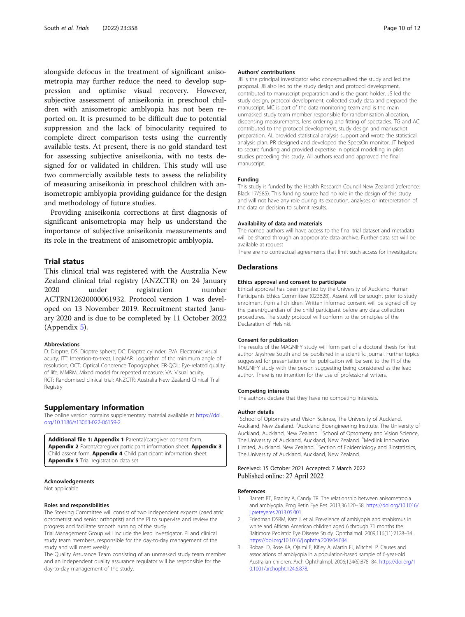<span id="page-9-0"></span>alongside defocus in the treatment of significant anisometropia may further reduce the need to develop suppression and optimise visual recovery. However, subjective assessment of aniseikonia in preschool children with anisometropic amblyopia has not been reported on. It is presumed to be difficult due to potential suppression and the lack of binocularity required to complete direct comparison tests using the currently available tests. At present, there is no gold standard test for assessing subjective aniseikonia, with no tests designed for or validated in children. This study will use two commercially available tests to assess the reliability of measuring aniseikonia in preschool children with anisometropic amblyopia providing guidance for the design and methodology of future studies.

Providing aniseikonia corrections at first diagnosis of significant anisometropia may help us understand the importance of subjective aniseikonia measurements and its role in the treatment of anisometropic amblyopia.

#### Trial status

This clinical trial was registered with the Australia New Zealand clinical trial registry (ANZCTR) on 24 January 2020 under registration number ACTRN12620000061932. Protocol version 1 was developed on 13 November 2019. Recruitment started January 2020 and is due to be completed by 11 October 2022 (Appendix 5).

#### Abbreviations

D: Dioptre; DS: Dioptre sphere; DC: Dioptre cylinder; EVA: Electronic visual acuity; ITT: Intention-to-treat; LogMAR: Logarithm of the minimum angle of resolution; OCT: Optical Coherence Topographer; ER-QOL: Eye-related quality of life; MMRM: Mixed model for repeated measure; VA: Visual acuity; RCT: Randomised clinical trial; ANZCTR: Australia New Zealand Clinical Trial Registry

#### Supplementary Information

The online version contains supplementary material available at [https://doi.](https://doi.org/10.1186/s13063-022-06159-2) [org/10.1186/s13063-022-06159-2.](https://doi.org/10.1186/s13063-022-06159-2)

Additional file 1: Appendix 1 Parental/caregiver consent form. Appendix 2 Parent/caregiver participant information sheet. Appendix 3 Child assent form. **Appendix 4** Child participant information sheet. Appendix 5 Trial registration data set

#### Acknowledgements

Not applicable

#### Roles and responsibilities

The Steering Committee will consist of two independent experts (paediatric optometrist and senior orthoptist) and the PI to supervise and review the progress and facilitate smooth running of the study.

Trial Management Group will include the lead investigator, PI and clinical study team members, responsible for the day-to-day management of the study and will meet weekly.

The Quality Assurance Team consisting of an unmasked study team member and an independent quality assurance regulator will be responsible for the day-to-day management of the study.

#### Authors' contributions

JB is the principal investigator who conceptualised the study and led the proposal. JB also led to the study design and protocol development, contributed to manuscript preparation and is the grant holder. JS led the study design, protocol development, collected study data and prepared the manuscript. MC is part of the data monitoring team and is the main unmasked study team member responsible for randomisation allocation, dispensing measurements, lens ordering and fitting of spectacles. TG and AC contributed to the protocol development, study design and manuscript preparation. AL provided statistical analysis support and wrote the statistical analysis plan. PR designed and developed the SpecsOn monitor. JT helped to secure funding and provided expertise in optical modelling in pilot studies preceding this study. All authors read and approved the final manuscript.

#### Funding

This study is funded by the Health Research Council New Zealand (reference: Black 17/585). This funding source had no role in the design of this study and will not have any role during its execution, analyses or interpretation of the data or decision to submit results.

#### Availability of data and materials

The named authors will have access to the final trial dataset and metadata will be shared through an appropriate data archive. Further data set will be available at request

There are no contractual agreements that limit such access for investigators.

#### **Declarations**

#### Ethics approval and consent to participate

Ethical approval has been granted by the University of Auckland Human Participants Ethics Committee (023628). Assent will be sought prior to study enrolment from all children. Written informed consent will be signed off by the parent/guardian of the child participant before any data collection procedures. The study protocol will conform to the principles of the Declaration of Helsinki.

#### Consent for publication

The results of the MAGNIFY study will form part of a doctoral thesis for first author Jayshree South and be published in a scientific journal. Further topics suggested for presentation or for publication will be sent to the PI of the MAGNIFY study with the person suggesting being considered as the lead author. There is no intention for the use of professional writers.

#### Competing interests

The authors declare that they have no competing interests.

#### Author details

<sup>1</sup>School of Optometry and Vision Science, The University of Auckland Auckland, New Zealand. <sup>2</sup> Auckland Bioengineering Institute, The University of Auckland, Auckland, New Zealand. <sup>3</sup>School of Optometry and Vision Science, The University of Auckland, Auckland, New Zealand. <sup>4</sup>Medlink Innovation Limited, Auckland, New Zealand. <sup>5</sup>Section of Epidemiology and Biostatistics, The University of Auckland, Auckland, New Zealand.

#### Received: 15 October 2021 Accepted: 7 March 2022 Published online: 27 April 2022

#### References

- 1. Barrett BT, Bradley A, Candy TR. The relationship between anisometropia and amblyopia. Prog Retin Eye Res. 2013;36:120–58. [https://doi.org/10.1016/](https://doi.org/10.1016/j.preteyeres.2013.05.001) [j.preteyeres.2013.05.001](https://doi.org/10.1016/j.preteyeres.2013.05.001).
- 2. Friedman DSRM, Katz J, et al. Prevalence of amblyopia and strabismus in white and African American children aged 6 through 71 months the Baltimore Pediatric Eye Disease Study. Ophthalmol. 2009;116(11):2128–34. <https://doi.org/10.1016/j.ophtha.2009.04.034>.
- 3. Robaei D, Rose KA, Ojaimi E, Kifley A, Martin FJ, Mitchell P. Causes and associations of amblyopia in a population-based sample of 6-year-old Australian children. Arch Ophthalmol. 2006;124(6):878–84. [https://doi.org/1](https://doi.org/10.1001/archopht.124.6.878) [0.1001/archopht.124.6.878.](https://doi.org/10.1001/archopht.124.6.878)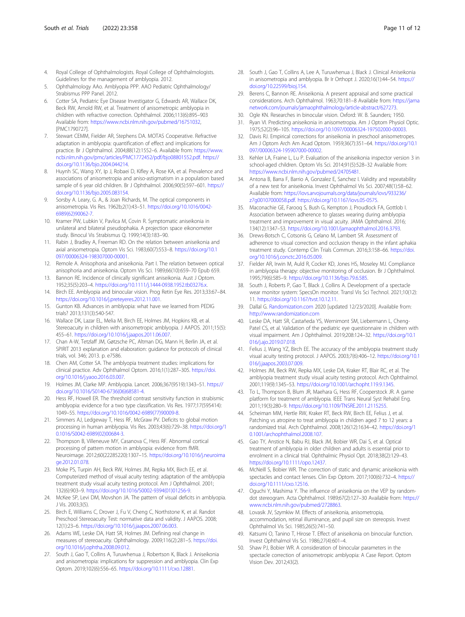- <span id="page-10-0"></span>4. Royal College of Ophthalmologists. Royal College of Ophthalmologists. Guidelines for the management of amblyopia. 2012.
- 5. Ophthalmology AAo. Amblyopia PPP. AAO Pediatric Ophthalmology/ Strabismus PPP Panel. 2012.
- 6. Cotter SA, Pediatric Eye Disease Investigator G, Edwards AR, Wallace DK, Beck RW, Arnold RW, et al. Treatment of anisometropic amblyopia in children with refractive correction. Ophthalmol. 2006;113(6):895–903 Available from: [https://www.ncbi.nlm.nih.gov/pubmed/16751032,](https://www.ncbi.nlm.nih.gov/pubmed/16751032) [PMC1790727].
- 7. Stewart CEMM, Fielder AR, Stephens DA. MOTAS Cooperative. Refractive adaptation in amblyopia: quantification of effect and implications for practice. Br J Ophthalmol. 2004;88(12):1552–6. Available from: [https://www.](https://www.ncbi.nlm.nih.gov/pmc/articles/PMC1772452/pdf/bjo08801552.pdf) [ncbi.nlm.nih.gov/pmc/articles/PMC1772452/pdf/bjo08801552.pdf.](https://www.ncbi.nlm.nih.gov/pmc/articles/PMC1772452/pdf/bjo08801552.pdf) [https://](https://doi.org/10.1136/bjo.2004.044214) [doi.org/10.1136/bjo.2004.044214.](https://doi.org/10.1136/bjo.2004.044214)
- 8. Huynh SC, Wang XY, Ip J, Robaei D, Kifley A, Rose KA, et al. Prevalence and associations of anisometropia and aniso-astigmatism in a population based sample of 6 year old children. Br J Ophthalmol. 2006;90(5):597–601. [https://](https://doi.org/10.1136/bjo.2005.083154) [doi.org/10.1136/bjo.2005.083154.](https://doi.org/10.1136/bjo.2005.083154)
- 9. Sorsby A. Leary, G. A., & Joan Richards, M. The optical components in anisometropia. Vis Res. 1962b;2(1):43–51. [https://doi.org/10.1016/0042-](https://doi.org/10.1016/0042-6989(62)90062-7) [6989\(62\)90062-7](https://doi.org/10.1016/0042-6989(62)90062-7).
- 10. Kramer PW, Lubkin V, Pavlica M, Covin R. Symptomatic aniseikonia in unilateral and bilateral pseudophakia. A projection space eikonometer study. Binocul Vis Strabismus Q. 1999;14(3):183–90.
- 11. Rabin J, Bradley A, Freeman RD. On the relation between aniseikonia and axial anisometropia. Optom Vis Sci. 1983;60(7):553–8. [https://doi.org/10.1](https://doi.org/10.1097/00006324-198307000-00001) [097/00006324-198307000-00001.](https://doi.org/10.1097/00006324-198307000-00001)
- 12. Remole A. Anisophoria and aniseikonia. Part I. The relation between optical anisophoria and aniseikonia. Optom Vis Sci. 1989;66(10):659–70 Epub 659.
- 13. Bannon RE. Incidence of clinically significant aniseikonia. Aust J Optom. 1952;35(5):203–4. [https://doi.org/10.1111/j.1444-0938.1952.tb03276.x.](https://doi.org/10.1111/j.1444-0938.1952.tb03276.x)
- 14. Birch EE. Amblyopia and binocular vision. Prog Retin Eye Res. 2013;33:67–84. <https://doi.org/10.1016/j.preteyeres.2012.11.001>.
- 15. Gunton KB. Advances in amblyopia: what have we learned from PEDIG trials? 2013;131(3):540-547.
- 16. Wallace DK, Lazar EL, Melia M, Birch EE, Holmes JM, Hopkins KB, et al. Stereoacuity in children with anisometropic amblyopia. J AAPOS. 2011;15(5): 455–61. [https://doi.org/10.1016/j.jaapos.2011.06.007.](https://doi.org/10.1016/j.jaapos.2011.06.007)
- 17. Chan A-W, Tetzlaff JM, Gøtzsche PC, Altman DG, Mann H, Berlin JA, et al. SPIRIT 2013 explanation and elaboration: guidance for protocols of clinical trials, vol. 346; 2013. p. e7586.
- 18. Chen AM, Cotter SA. The amblyopia treatment studies: implications for clinical practice. Adv Ophthalmol Optom. 2016;1(1):287–305. [https://doi.](https://doi.org/10.1016/j.yaoo.2016.03.007) [org/10.1016/j.yaoo.2016.03.007.](https://doi.org/10.1016/j.yaoo.2016.03.007)
- 19. Holmes JM, Clarke MP. Amblyopia. Lancet. 2006;367(9519):1343–51. [https://](https://doi.org/10.1016/S0140-6736(06)68581-4) [doi.org/10.1016/S0140-6736\(06\)68581-4](https://doi.org/10.1016/S0140-6736(06)68581-4).
- 20. Hess RF, Howell ER. The threshold contrast sensitivity function in strabismic amblyopia: evidence for a two type classification. Vis Res. 1977;17(595414): 1049–55. [https://doi.org/10.1016/0042-6989\(77\)90009-8.](https://doi.org/10.1016/0042-6989(77)90009-8)
- 21. Simmers AJ, Ledgeway T, Hess RF, McGraw PV. Deficits to global motion processing in human amblyopia. Vis Res. 2003;43(6):729–38. [https://doi.org/1](https://doi.org/10.1016/S0042-6989(02)00684-3) [0.1016/S0042-6989\(02\)00684-3](https://doi.org/10.1016/S0042-6989(02)00684-3).
- 22. Thompson B, Villeneuve MY, Casanova C, Hess RF. Abnormal cortical processing of pattern motion in amblyopia: evidence from fMRI. Neuroimage. 2012;60(22285220):1307–15. [https://doi.org/10.1016/j.neuroima](https://doi.org/10.1016/j.neuroimage.2012.01.078) [ge.2012.01.078](https://doi.org/10.1016/j.neuroimage.2012.01.078).
- 23. Moke PS, Turpin AH, Beck RW, Holmes JM, Repka MX, Birch EE, et al. Computerized method of visual acuity testing: adaptation of the amblyopia treatment study visual acuity testing protocol. Am J Ophthalmol. 2001; 132(6):903–9. [https://doi.org/10.1016/S0002-9394\(01\)01256-9.](https://doi.org/10.1016/S0002-9394(01)01256-9)
- 24. McKee SP, Levi DM, Movshon JA. The pattern of visual deficits in amblyopia. J Vis. 2003;3(5).
- 25. Birch E, Williams C, Drover J, Fu V, Cheng C, Northstone K, et al. Randot Preschool Stereoacuity Test: normative data and validity. J AAPOS. 2008; 12(1):23–6. <https://doi.org/10.1016/j.jaapos.2007.06.003>.
- 26. Adams WE, Leske DA, Hatt SR, Holmes JM. Defining real change in measures of stereoacuity. Ophthalmology. 2009;116(2):281–5. [https://doi.](https://doi.org/10.1016/j.ophtha.2008.09.012) [org/10.1016/j.ophtha.2008.09.012](https://doi.org/10.1016/j.ophtha.2008.09.012).
- 27. South J, Gao T, Collins A, Turuwhenua J, Robertson K, Black J. Aniseikonia and anisometropia: implications for suppression and amblyopia. Clin Exp Optom. 2019;102(6):556–65. <https://doi.org/10.1111/cxo.12881>.
- 28. South J, Gao T, Collins A, Lee A, Turuwhenua J, Black J. Clinical Aniseikonia in anisometropia and amblyopia. Br Ir Orthopt J. 2020;16(1):44–54. [https://](https://doi.org/10.22599/bioj.154) [doi.org/10.22599/bioj.154.](https://doi.org/10.22599/bioj.154)
- 29. Berens C, Bannon RE. Aniseikonia. A present appraisal and some practical considerations. Arch Ophthalmol. 1963;70:181–8 Available from: [https://jama](https://jamanetwork.com/journals/jamaophthalmology/article-abstract/627273) [network.com/journals/jamaophthalmology/article-abstract/627273](https://jamanetwork.com/journals/jamaophthalmology/article-abstract/627273).
- Ogle KN. Researches in binocular vision. Oxford: W. B. Saunders; 1950.
- 31. Ryan VI. Predicting aniseikonia in anisometropia. Am J Optom Physiol Optic. 1975;52(2):96–105. <https://doi.org/10.1097/00006324-197502000-00003>.
- 32. Davis RJ. Empirical corrections for aniseikonia in preschool anisometropes. Am J Optom Arch Am Acad Optom. 1959;36(7):351–64. [https://doi.org/10.1](https://doi.org/10.1097/00006324-195907000-00002) [097/00006324-195907000-00002.](https://doi.org/10.1097/00006324-195907000-00002)
- 33. Kehler LA, Fraine L, Lu P. Evaluation of the aniseikonia inspector version 3 in school-aged children. Optom Vis Sci. 2014;91(5):528–32 Available from: <https://www.ncbi.nlm.nih.gov/pubmed/24705481>.
- 34. Antona B, Barra F, Barrio A, Gonzalez E, Sanchez I. Validity and repeatability of a new test for aniseikonia. Invest Ophthalmol Vis Sci. 2007;48(1):58–62. Available from: [https://iovs.arvojournals.org/data/journals/iovs/933236/](https://iovs.arvojournals.org/data/journals/iovs/933236/z7g00107000058.pdf) [z7g00107000058.pdf](https://iovs.arvojournals.org/data/journals/iovs/933236/z7g00107000058.pdf). <https://doi.org/10.1167/iovs.05-0575>.
- 35. Maconachie GE, Farooq S, Bush G, Kempton J, Proudlock FA, Gottlob I. Association between adherence to glasses wearing during amblyopia treatment and improvement in visual acuity. JAMA Ophthalmol. 2016; 134(12):1347–53. [https://doi.org/10.1001/jamaophthalmol.2016.3793.](https://doi.org/10.1001/jamaophthalmol.2016.3793)
- 36. Drews-Botsch C, Cotsonis G, Celano M, Lambert SR. Assessment of adherence to visual correction and occlusion therapy in the infant aphakia treatment study. Contemp Clin Trials Commun. 2016;3:158–66. [https://doi.](https://doi.org/10.1016/j.conctc.2016.05.009) [org/10.1016/j.conctc.2016.05.009.](https://doi.org/10.1016/j.conctc.2016.05.009)
- 37. Fielder AR, Irwin M, Auld R, Cocker KD, Jones HS, Moseley MJ. Compliance in amblyopia therapy: objective monitoring of occlusion. Br J Ophthalmol. 1995;79(6):585–9. [https://doi.org/10.1136/bjo.79.6.585.](https://doi.org/10.1136/bjo.79.6.585)
- 38. South J, Roberts P, Gao T, Black J, Collins A. Development of a spectacle wear monitor system: SpecsOn monitor. Transl Vis Sci Technol. 2021;10(12): 11. <https://doi.org/10.1167/tvst.10.12.11>.
- 39. Dallal G. [Randomization.com](http://randomization.com) 2020 [updated 12/23/2020]. Available from: <http://www.randomization.com>
- 40. Leske DA, Hatt SR, Castañeda YS, Wernimont SM, Liebermann L, Cheng-Patel CS, et al. Validation of the pediatric eye questionnaire in children with visual impairment. Am J Ophthalmol. 2019;208:124–32. [https://doi.org/10.1](https://doi.org/10.1016/j.ajo.2019.07.018) [016/j.ajo.2019.07.018.](https://doi.org/10.1016/j.ajo.2019.07.018)
- 41. Felius J, Wang YZ, Birch EE. The accuracy of the amblyopia treatment study visual acuity testing protocol. J AAPOS. 2003;7(6):406–12. [https://doi.org/10.1](https://doi.org/10.1016/j.jaapos.2003.07.009) [016/j.jaapos.2003.07.009](https://doi.org/10.1016/j.jaapos.2003.07.009).
- 42. Holmes JM, Beck RW, Repka MX, Leske DA, Kraker RT, Blair RC, et al. The amblyopia treatment study visual acuity testing protocol. Arch Ophthalmol. 2001;119(9):1345–53. <https://doi.org/10.1001/archopht.119.9.1345>.
- 43. To L, Thompson B, Blum JR, Maehara G, Hess RF, Cooperstock JR. A game platform for treatment of amblyopia. IEEE Trans Neural Syst Rehabil Eng. 2011;19(3):280–9. <https://doi.org/10.1109/TNSRE.2011.2115255>.
- 44. Scheiman MM, Hertle RW, Kraker RT, Beck RW, Birch EE, Felius J, et al. Patching vs atropine to treat amblyopia in children aged 7 to 12 years: a randomized trial. Arch Ophthalmol. 2008;126(12):1634–42. [https://doi.org/1](https://doi.org/10.1001/archophthalmol.2008.107) [0.1001/archophthalmol.2008.107.](https://doi.org/10.1001/archophthalmol.2008.107)
- 45. Gao TY, Anstice N, Babu RJ, Black JM, Bobier WR, Dai S, et al. Optical treatment of amblyopia in older children and adults is essential prior to enrolment in a clinical trial. Ophthalmic Physiol Opt. 2018;38(2):129–43. [https://doi.org/10.1111/opo.12437.](https://doi.org/10.1111/opo.12437)
- 46. McNeill S, Bobier WR. The correction of static and dynamic aniseikonia with spectacles and contact lenses. Clin Exp Optom. 2017;100(6):732–4. [https://](https://doi.org/10.1111/cxo.12516) [doi.org/10.1111/cxo.12516.](https://doi.org/10.1111/cxo.12516)
- 47. Oguchi Y, Mashima Y. The influence of aniseikonia on the VEP by randomdot stereogram. Acta Ophthalmol. 1989;67(2):127–30 Available from: [https://](https://www.ncbi.nlm.nih.gov/pubmed/2728863) [www.ncbi.nlm.nih.gov/pubmed/2728863](https://www.ncbi.nlm.nih.gov/pubmed/2728863).
- 48. Lovasik JV, Szymkiw M. Effects of aniseikonia, anisometropia, accommodation, retinal illuminance, and pupil size on stereopsis. Invest Ophthalmol Vis Sci. 1985;26(5):741–50.
- 49. Katsumi O, Tanino T, Hirose T. Effect of aniseikonia on binocular function. Invest Ophthalmol Vis Sci. 1986;27(4):601–4.
- 50. Shaw PJ, Bobier WR. A consideration of binocular parameters in the spectacle correction of anisometropic amblyopia: A Case Report. Optom Vision Dev. 2012;43(2).